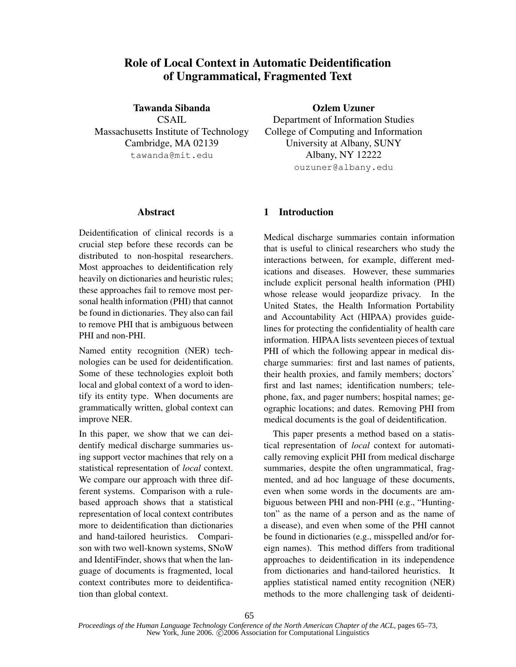# **Role of Local Context in Automatic Deidentification of Ungrammatical, Fragmented Text**

**Tawanda Sibanda** CSAIL Massachusetts Institute of Technology Cambridge, MA 02139 tawanda@mit.edu

#### **Abstract**

Deidentification of clinical records is a crucial step before these records can be distributed to non-hospital researchers. Most approaches to deidentification rely heavily on dictionaries and heuristic rules; these approaches fail to remove most personal health information (PHI) that cannot be found in dictionaries. They also can fail to remove PHI that is ambiguous between PHI and non-PHI.

Named entity recognition (NER) technologies can be used for deidentification. Some of these technologies exploit both local and global context of a word to identify its entity type. When documents are grammatically written, global context can improve NER.

In this paper, we show that we can deidentify medical discharge summaries using support vector machines that rely on a statistical representation of *local* context. We compare our approach with three different systems. Comparison with a rulebased approach shows that a statistical representation of local context contributes more to deidentification than dictionaries and hand-tailored heuristics. Comparison with two well-known systems, SNoW and IdentiFinder, shows that when the language of documents is fragmented, local context contributes more to deidentification than global context.

**Ozlem Uzuner**

Department of Information Studies College of Computing and Information University at Albany, SUNY Albany, NY 12222 ouzuner@albany.edu

### **1 Introduction**

Medical discharge summaries contain information that is useful to clinical researchers who study the interactions between, for example, different medications and diseases. However, these summaries include explicit personal health information (PHI) whose release would jeopardize privacy. In the United States, the Health Information Portability and Accountability Act (HIPAA) provides guidelines for protecting the confidentiality of health care information. HIPAA lists seventeen pieces of textual PHI of which the following appear in medical discharge summaries: first and last names of patients, their health proxies, and family members; doctors' first and last names; identification numbers; telephone, fax, and pager numbers; hospital names; geographic locations; and dates. Removing PHI from medical documents is the goal of deidentification.

This paper presents a method based on a statistical representation of *local* context for automatically removing explicit PHI from medical discharge summaries, despite the often ungrammatical, fragmented, and ad hoc language of these documents, even when some words in the documents are ambiguous between PHI and non-PHI (e.g., "Huntington" as the name of a person and as the name of a disease), and even when some of the PHI cannot be found in dictionaries (e.g., misspelled and/or foreign names). This method differs from traditional approaches to deidentification in its independence from dictionaries and hand-tailored heuristics. It applies statistical named entity recognition (NER) methods to the more challenging task of deidenti-

65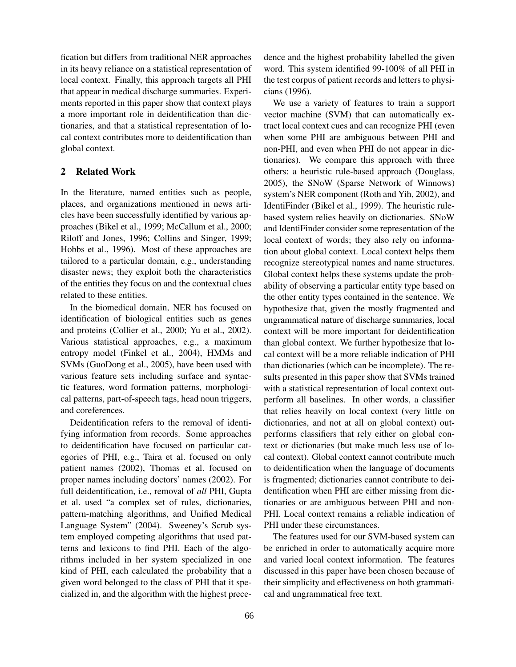fication but differs from traditional NER approaches in its heavy reliance on a statistical representation of local context. Finally, this approach targets all PHI that appear in medical discharge summaries. Experiments reported in this paper show that context plays a more important role in deidentification than dictionaries, and that a statistical representation of local context contributes more to deidentification than global context.

# **2 Related Work**

In the literature, named entities such as people, places, and organizations mentioned in news articles have been successfully identified by various approaches (Bikel et al., 1999; McCallum et al., 2000; Riloff and Jones, 1996; Collins and Singer, 1999; Hobbs et al., 1996). Most of these approaches are tailored to a particular domain, e.g., understanding disaster news; they exploit both the characteristics of the entities they focus on and the contextual clues related to these entities.

In the biomedical domain, NER has focused on identification of biological entities such as genes and proteins (Collier et al., 2000; Yu et al., 2002). Various statistical approaches, e.g., a maximum entropy model (Finkel et al., 2004), HMMs and SVMs (GuoDong et al., 2005), have been used with various feature sets including surface and syntactic features, word formation patterns, morphological patterns, part-of-speech tags, head noun triggers, and coreferences.

Deidentification refers to the removal of identifying information from records. Some approaches to deidentification have focused on particular categories of PHI, e.g., Taira et al. focused on only patient names (2002), Thomas et al. focused on proper names including doctors' names (2002). For full deidentification, i.e., removal of *all* PHI, Gupta et al. used "a complex set of rules, dictionaries, pattern-matching algorithms, and Unified Medical Language System" (2004). Sweeney's Scrub system employed competing algorithms that used patterns and lexicons to find PHI. Each of the algorithms included in her system specialized in one kind of PHI, each calculated the probability that a given word belonged to the class of PHI that it specialized in, and the algorithm with the highest precedence and the highest probability labelled the given word. This system identified 99-100% of all PHI in the test corpus of patient records and letters to physicians (1996).

We use a variety of features to train a support vector machine (SVM) that can automatically extract local context cues and can recognize PHI (even when some PHI are ambiguous between PHI and non-PHI, and even when PHI do not appear in dictionaries). We compare this approach with three others: a heuristic rule-based approach (Douglass, 2005), the SNoW (Sparse Network of Winnows) system's NER component (Roth and Yih, 2002), and IdentiFinder (Bikel et al., 1999). The heuristic rulebased system relies heavily on dictionaries. SNoW and IdentiFinder consider some representation of the local context of words; they also rely on information about global context. Local context helps them recognize stereotypical names and name structures. Global context helps these systems update the probability of observing a particular entity type based on the other entity types contained in the sentence. We hypothesize that, given the mostly fragmented and ungrammatical nature of discharge summaries, local context will be more important for deidentification than global context. We further hypothesize that local context will be a more reliable indication of PHI than dictionaries (which can be incomplete). The results presented in this paper show that SVMs trained with a statistical representation of local context outperform all baselines. In other words, a classifier that relies heavily on local context (very little on dictionaries, and not at all on global context) outperforms classifiers that rely either on global context or dictionaries (but make much less use of local context). Global context cannot contribute much to deidentification when the language of documents is fragmented; dictionaries cannot contribute to deidentification when PHI are either missing from dictionaries or are ambiguous between PHI and non-PHI. Local context remains a reliable indication of PHI under these circumstances.

The features used for our SVM-based system can be enriched in order to automatically acquire more and varied local context information. The features discussed in this paper have been chosen because of their simplicity and effectiveness on both grammatical and ungrammatical free text.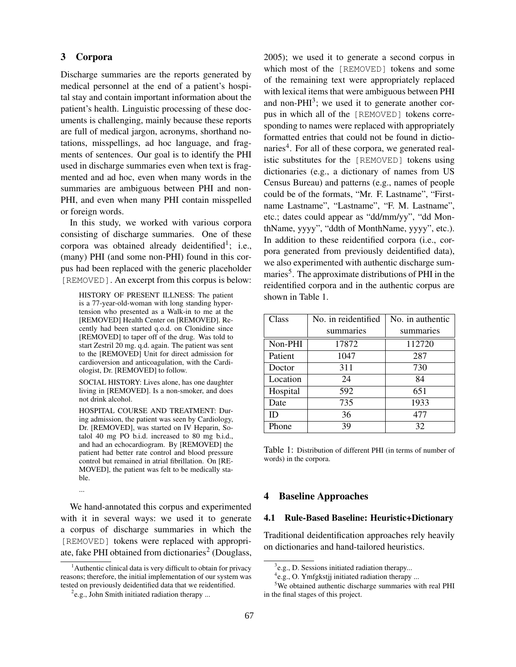### **3 Corpora**

Discharge summaries are the reports generated by medical personnel at the end of a patient's hospital stay and contain important information about the patient's health. Linguistic processing of these documents is challenging, mainly because these reports are full of medical jargon, acronyms, shorthand notations, misspellings, ad hoc language, and fragments of sentences. Our goal is to identify the PHI used in discharge summaries even when text is fragmented and ad hoc, even when many words in the summaries are ambiguous between PHI and non-PHI, and even when many PHI contain misspelled or foreign words.

In this study, we worked with various corpora consisting of discharge summaries. One of these corpora was obtained already deidentified<sup>1</sup>; i.e., (many) PHI (and some non-PHI) found in this corpus had been replaced with the generic placeholder [REMOVED]. An excerpt from this corpus is below:

HISTORY OF PRESENT ILLNESS: The patient is a 77-year-old-woman with long standing hypertension who presented as a Walk-in to me at the [REMOVED] Health Center on [REMOVED]. Recently had been started q.o.d. on Clonidine since [REMOVED] to taper off of the drug. Was told to start Zestril 20 mg. q.d. again. The patient was sent to the [REMOVED] Unit for direct admission for cardioversion and anticoagulation, with the Cardiologist, Dr. [REMOVED] to follow.

SOCIAL HISTORY: Lives alone, has one daughter living in [REMOVED]. Is a non-smoker, and does not drink alcohol.

HOSPITAL COURSE AND TREATMENT: During admission, the patient was seen by Cardiology, Dr. [REMOVED], was started on IV Heparin, Sotalol 40 mg PO b.i.d. increased to 80 mg b.i.d., and had an echocardiogram. By [REMOVED] the patient had better rate control and blood pressure control but remained in atrial fibrillation. On [RE-MOVED], the patient was felt to be medically stable.

...

We hand-annotated this corpus and experimented with it in several ways: we used it to generate a corpus of discharge summaries in which the [REMOVED] tokens were replaced with appropriate, fake PHI obtained from dictionaries<sup>2</sup> (Douglass, 2005); we used it to generate a second corpus in which most of the [REMOVED] tokens and some of the remaining text were appropriately replaced with lexical items that were ambiguous between PHI and non-PHI<sup>3</sup>; we used it to generate another corpus in which all of the [REMOVED] tokens corresponding to names were replaced with appropriately formatted entries that could not be found in dictionaries<sup>4</sup>. For all of these corpora, we generated realistic substitutes for the [REMOVED] tokens using dictionaries (e.g., a dictionary of names from US Census Bureau) and patterns (e.g., names of people could be of the formats, "Mr. F. Lastname", "Firstname Lastname", "Lastname", "F. M. Lastname", etc.; dates could appear as "dd/mm/yy", "dd MonthName, yyyy", "ddth of MonthName, yyyy", etc.). In addition to these reidentified corpora (i.e., corpora generated from previously deidentified data), we also experimented with authentic discharge summaries<sup>5</sup>. The approximate distributions of PHI in the reidentified corpora and in the authentic corpus are shown in Table 1.

| Class    | No. in reidentified | No. in authentic |
|----------|---------------------|------------------|
|          | summaries           | summaries        |
| Non-PHI  | 17872               | 112720           |
| Patient  | 1047                | 287              |
| Doctor   | 311                 | 730              |
| Location | 24                  | 84               |
| Hospital | 592                 | 651              |
| Date     | 735                 | 1933             |
| ID       | 36                  | 477              |
| Phone    | 39                  | 32               |

Table 1: Distribution of different PHI (in terms of number of words) in the corpora.

#### **4 Baseline Approaches**

#### **4.1 Rule-Based Baseline: Heuristic+Dictionary**

Traditional deidentification approaches rely heavily on dictionaries and hand-tailored heuristics.

<sup>&</sup>lt;sup>1</sup> Authentic clinical data is very difficult to obtain for privacy reasons; therefore, the initial implementation of our system was tested on previously deidentified data that we reidentified.

 $e^{2}$ e.g., John Smith initiated radiation therapy ...

<sup>&</sup>lt;sup>3</sup>e.g., D. Sessions initiated radiation therapy...

<sup>4</sup> e.g., O. Ymfgkstjj initiated radiation therapy ...

<sup>&</sup>lt;sup>5</sup>We obtained authentic discharge summaries with real PHI in the final stages of this project.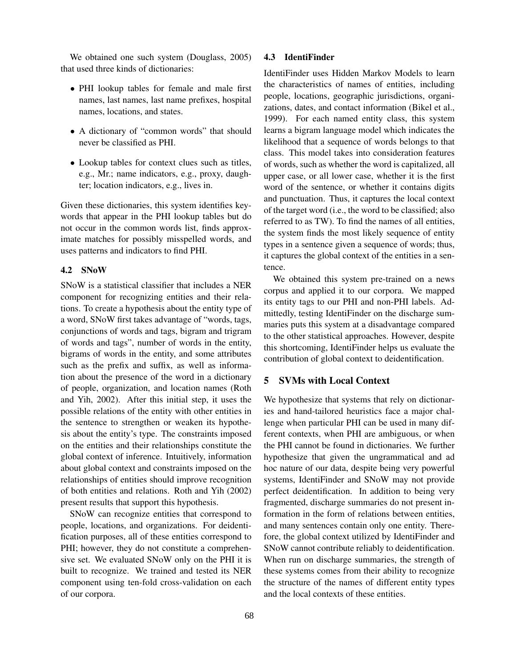We obtained one such system (Douglass, 2005) that used three kinds of dictionaries:

- PHI lookup tables for female and male first names, last names, last name prefixes, hospital names, locations, and states.
- A dictionary of "common words" that should never be classified as PHI.
- Lookup tables for context clues such as titles, e.g., Mr.; name indicators, e.g., proxy, daughter; location indicators, e.g., lives in.

Given these dictionaries, this system identifies keywords that appear in the PHI lookup tables but do not occur in the common words list, finds approximate matches for possibly misspelled words, and uses patterns and indicators to find PHI.

### **4.2 SNoW**

SNoW is a statistical classifier that includes a NER component for recognizing entities and their relations. To create a hypothesis about the entity type of a word, SNoW first takes advantage of "words, tags, conjunctions of words and tags, bigram and trigram of words and tags", number of words in the entity, bigrams of words in the entity, and some attributes such as the prefix and suffix, as well as information about the presence of the word in a dictionary of people, organization, and location names (Roth and Yih, 2002). After this initial step, it uses the possible relations of the entity with other entities in the sentence to strengthen or weaken its hypothesis about the entity's type. The constraints imposed on the entities and their relationships constitute the global context of inference. Intuitively, information about global context and constraints imposed on the relationships of entities should improve recognition of both entities and relations. Roth and Yih (2002) present results that support this hypothesis.

SNoW can recognize entities that correspond to people, locations, and organizations. For deidentification purposes, all of these entities correspond to PHI; however, they do not constitute a comprehensive set. We evaluated SNoW only on the PHI it is built to recognize. We trained and tested its NER component using ten-fold cross-validation on each of our corpora.

### **4.3 IdentiFinder**

IdentiFinder uses Hidden Markov Models to learn the characteristics of names of entities, including people, locations, geographic jurisdictions, organizations, dates, and contact information (Bikel et al., 1999). For each named entity class, this system learns a bigram language model which indicates the likelihood that a sequence of words belongs to that class. This model takes into consideration features of words, such as whether the word is capitalized, all upper case, or all lower case, whether it is the first word of the sentence, or whether it contains digits and punctuation. Thus, it captures the local context of the target word (i.e., the word to be classified; also referred to as TW). To find the names of all entities, the system finds the most likely sequence of entity types in a sentence given a sequence of words; thus, it captures the global context of the entities in a sentence.

We obtained this system pre-trained on a news corpus and applied it to our corpora. We mapped its entity tags to our PHI and non-PHI labels. Admittedly, testing IdentiFinder on the discharge summaries puts this system at a disadvantage compared to the other statistical approaches. However, despite this shortcoming, IdentiFinder helps us evaluate the contribution of global context to deidentification.

## **5 SVMs with Local Context**

We hypothesize that systems that rely on dictionaries and hand-tailored heuristics face a major challenge when particular PHI can be used in many different contexts, when PHI are ambiguous, or when the PHI cannot be found in dictionaries. We further hypothesize that given the ungrammatical and ad hoc nature of our data, despite being very powerful systems, IdentiFinder and SNoW may not provide perfect deidentification. In addition to being very fragmented, discharge summaries do not present information in the form of relations between entities, and many sentences contain only one entity. Therefore, the global context utilized by IdentiFinder and SNoW cannot contribute reliably to deidentification. When run on discharge summaries, the strength of these systems comes from their ability to recognize the structure of the names of different entity types and the local contexts of these entities.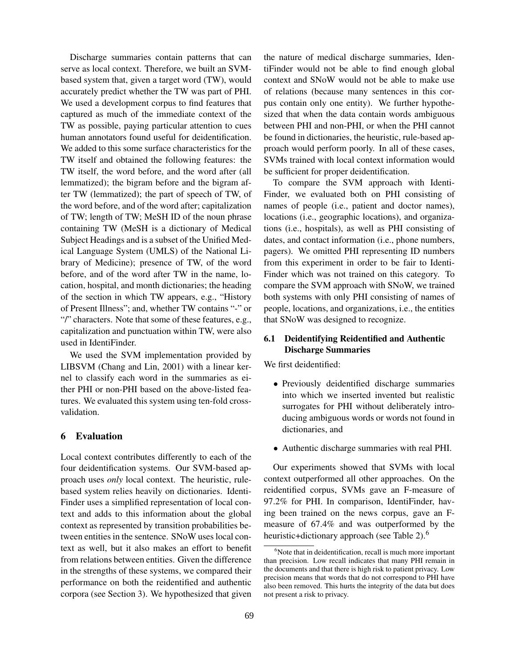Discharge summaries contain patterns that can serve as local context. Therefore, we built an SVMbased system that, given a target word (TW), would accurately predict whether the TW was part of PHI. We used a development corpus to find features that captured as much of the immediate context of the TW as possible, paying particular attention to cues human annotators found useful for deidentification. We added to this some surface characteristics for the TW itself and obtained the following features: the TW itself, the word before, and the word after (all lemmatized); the bigram before and the bigram after TW (lemmatized); the part of speech of TW, of the word before, and of the word after; capitalization of TW; length of TW; MeSH ID of the noun phrase containing TW (MeSH is a dictionary of Medical Subject Headings and is a subset of the Unified Medical Language System (UMLS) of the National Library of Medicine); presence of TW, of the word before, and of the word after TW in the name, location, hospital, and month dictionaries; the heading of the section in which TW appears, e.g., "History of Present Illness"; and, whether TW contains "-" or "/" characters. Note that some of these features, e.g., capitalization and punctuation within TW, were also used in IdentiFinder.

We used the SVM implementation provided by LIBSVM (Chang and Lin, 2001) with a linear kernel to classify each word in the summaries as either PHI or non-PHI based on the above-listed features. We evaluated this system using ten-fold crossvalidation.

### **6 Evaluation**

Local context contributes differently to each of the four deidentification systems. Our SVM-based approach uses *only* local context. The heuristic, rulebased system relies heavily on dictionaries. Identi-Finder uses a simplified representation of local context and adds to this information about the global context as represented by transition probabilities between entities in the sentence. SNoW uses local context as well, but it also makes an effort to benefit from relations between entities. Given the difference in the strengths of these systems, we compared their performance on both the reidentified and authentic corpora (see Section 3). We hypothesized that given

the nature of medical discharge summaries, IdentiFinder would not be able to find enough global context and SNoW would not be able to make use of relations (because many sentences in this corpus contain only one entity). We further hypothesized that when the data contain words ambiguous between PHI and non-PHI, or when the PHI cannot be found in dictionaries, the heuristic, rule-based approach would perform poorly. In all of these cases, SVMs trained with local context information would be sufficient for proper deidentification.

To compare the SVM approach with Identi-Finder, we evaluated both on PHI consisting of names of people (i.e., patient and doctor names), locations (i.e., geographic locations), and organizations (i.e., hospitals), as well as PHI consisting of dates, and contact information (i.e., phone numbers, pagers). We omitted PHI representing ID numbers from this experiment in order to be fair to Identi-Finder which was not trained on this category. To compare the SVM approach with SNoW, we trained both systems with only PHI consisting of names of people, locations, and organizations, i.e., the entities that SNoW was designed to recognize.

# **6.1 Deidentifying Reidentified and Authentic Discharge Summaries**

We first deidentified:

- Previously deidentified discharge summaries into which we inserted invented but realistic surrogates for PHI without deliberately introducing ambiguous words or words not found in dictionaries, and
- Authentic discharge summaries with real PHI.

Our experiments showed that SVMs with local context outperformed all other approaches. On the reidentified corpus, SVMs gave an F-measure of 97.2% for PHI. In comparison, IdentiFinder, having been trained on the news corpus, gave an Fmeasure of 67.4% and was outperformed by the heuristic+dictionary approach (see Table 2).<sup>6</sup>

<sup>&</sup>lt;sup>6</sup>Note that in deidentification, recall is much more important than precision. Low recall indicates that many PHI remain in the documents and that there is high risk to patient privacy. Low precision means that words that do not correspond to PHI have also been removed. This hurts the integrity of the data but does not present a risk to privacy.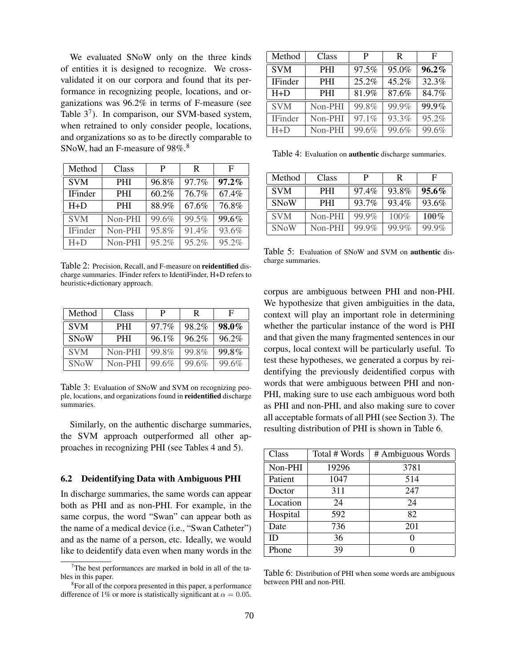We evaluated SNoW only on the three kinds of entities it is designed to recognize. We crossvalidated it on our corpora and found that its performance in recognizing people, locations, and organizations was 96.2% in terms of F-measure (see Table  $3^7$ ). In comparison, our SVM-based system, when retrained to only consider people, locations, and organizations so as to be directly comparable to SNoW, had an F-measure of 98%.<sup>8</sup>

| Method         | Class      | P     | R     | F     |
|----------------|------------|-------|-------|-------|
| <b>SVM</b>     | <b>PHI</b> | 96.8% | 97.7% | 97.2% |
| <b>IFinder</b> | <b>PHI</b> | 60.2% | 76.7% | 67.4% |
| $H+D$          | <b>PHI</b> | 88.9% | 67.6% | 76.8% |
| <b>SVM</b>     | Non-PHI    | 99.6% | 99.5% | 99.6% |
| <b>IFinder</b> | Non-PHI    | 95.8% | 91.4% | 93.6% |
| $H + D$        | Non-PHI    | 95.2% | 95.2% | 95.2% |

Table 2: Precision, Recall, and F-measure on **reidentified** discharge summaries. IFinder refers to IdentiFinder, H+D refers to heuristic+dictionary approach.

| Method      | Class      | P        | R     | F        |
|-------------|------------|----------|-------|----------|
| <b>SVM</b>  | <b>PHI</b> | $97.7\%$ | 98.2% | $98.0\%$ |
| <b>SNoW</b> | <b>PHI</b> | $96.1\%$ | 96.2% | 96.2%    |
| <b>SVM</b>  | Non-PHI    | 99.8%    | 99.8% | 99.8%    |
| <b>SNoW</b> | Non-PHI    | 99.6%    | 99.6% | 99.6%    |

Table 3: Evaluation of SNoW and SVM on recognizing people, locations, and organizationsfound in **reidentified** discharge summaries.

Similarly, on the authentic discharge summaries, the SVM approach outperformed all other approaches in recognizing PHI (see Tables 4 and 5).

#### **6.2 Deidentifying Data with Ambiguous PHI**

In discharge summaries, the same words can appear both as PHI and as non-PHI. For example, in the same corpus, the word "Swan" can appear both as the name of a medical device (i.e., "Swan Catheter") and as the name of a person, etc. Ideally, we would like to deidentify data even when many words in the

| Method         | Class      | P     | R     | F        |
|----------------|------------|-------|-------|----------|
| <b>SVM</b>     | <b>PHI</b> | 97.5% | 95.0% | $96.2\%$ |
| <b>IFinder</b> | <b>PHI</b> | 25.2% | 45.2% | 32.3%    |
| $H + D$        | PHI        | 81.9% | 87.6% | 84.7%    |
| <b>SVM</b>     | Non-PHI    | 99.8% | 99.9% | 99.9%    |
| <b>IFinder</b> | Non-PHI    | 97.1% | 93.3% | $95.2\%$ |
| $H + D$        | Non-PHI    | 99.6% | 99.6% | 99.6%    |

Table 4: Evaluation on **authentic** discharge summaries.

| Method      | Class      | P     | R     | F        |
|-------------|------------|-------|-------|----------|
| <b>SVM</b>  | PHI        | 97.4% | 93.8% | $95.6\%$ |
| <b>SNoW</b> | <b>PHI</b> | 93.7% | 93.4% | 93.6%    |
| <b>SVM</b>  | Non-PHI    | 99.9% | 100%  | $100\%$  |
| <b>SNoW</b> | Non-PHI    | 99.9% | 99.9% | $99.9\%$ |

Table 5: Evaluation of SNoW and SVM on **authentic** discharge summaries.

corpus are ambiguous between PHI and non-PHI. We hypothesize that given ambiguities in the data, context will play an important role in determining whether the particular instance of the word is PHI and that given the many fragmented sentences in our corpus, local context will be particularly useful. To test these hypotheses, we generated a corpus by reidentifying the previously deidentified corpus with words that were ambiguous between PHI and non-PHI, making sure to use each ambiguous word both as PHI and non-PHI, and also making sure to cover all acceptable formats of all PHI (see Section 3). The resulting distribution of PHI is shown in Table 6.

| Class    | Total # Words | # Ambiguous Words |
|----------|---------------|-------------------|
| Non-PHI  | 19296         | 3781              |
| Patient  | 1047          | 514               |
| Doctor   | 311           | 247               |
| Location | 24            | 24                |
| Hospital | 592           | 82                |
| Date     | 736           | 201               |
| ID       | 36            |                   |
| Phone    | 39            |                   |

Table 6: Distribution of PHI when some words are ambiguous between PHI and non-PHI.

<sup>&</sup>lt;sup>7</sup>The best performances are marked in bold in all of the tables in this paper.

<sup>&</sup>lt;sup>8</sup> For all of the corpora presented in this paper, a performance difference of 1% or more is statistically significant at  $\alpha = 0.05$ .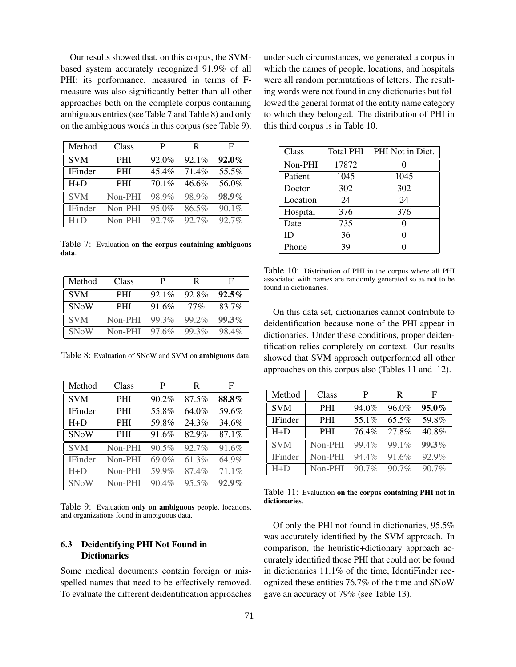Our results showed that, on this corpus, the SVMbased system accurately recognized 91.9% of all PHI; its performance, measured in terms of Fmeasure was also significantly better than all other approaches both on the complete corpus containing ambiguous entries(see Table 7 and Table 8) and only on the ambiguous words in this corpus (see Table 9).

| Method         | Class      | P        | R     | F     |
|----------------|------------|----------|-------|-------|
| <b>SVM</b>     | <b>PHI</b> | 92.0%    | 92.1% | 92.0% |
| <b>IFinder</b> | <b>PHI</b> | 45.4%    | 71.4% | 55.5% |
| $H+D$          | <b>PHI</b> | $70.1\%$ | 46.6% | 56.0% |
| <b>SVM</b>     | Non-PHI    | 98.9%    | 98.9% | 98.9% |
| <b>IFinder</b> | Non-PHI    | 95.0%    | 86.5% | 90.1% |
| $H + D$        | Non-PHI    | 92.7%    | 92.7% | 92.7% |

Table 7: Evaluation **on the corpus containing ambiguous data**.

| Method      | Class      | P        | R      | F        |
|-------------|------------|----------|--------|----------|
| <b>SVM</b>  | <b>PHI</b> | $92.1\%$ | 92.8%  | $92.5\%$ |
| <b>SNoW</b> | <b>PHI</b> | 91.6%    | $77\%$ | 83.7%    |
| <b>SVM</b>  | Non-PHI    | 99.3%    | 99.2%  | 99.3%    |
| <b>SNoW</b> | Non-PHI    | 97.6%    | 99.3%  | 98.4%    |

Table 8: Evaluation of SNoW and SVM on **ambiguous** data.

| Method         | Class      | P     | R        | F        |
|----------------|------------|-------|----------|----------|
| <b>SVM</b>     | <b>PHI</b> | 90.2% | 87.5%    | 88.8%    |
| <b>IFinder</b> | <b>PHI</b> | 55.8% | 64.0%    | 59.6%    |
| $H+D$          | <b>PHI</b> | 59.8% | 24.3%    | 34.6%    |
| SNoW           | <b>PHI</b> | 91.6% | 82.9%    | 87.1%    |
| <b>SVM</b>     | Non-PHI    | 90.5% | 92.7%    | 91.6%    |
| <b>IFinder</b> | Non-PHI    | 69.0% | 61.3%    | 64.9%    |
| $H+D$          | Non-PHI    | 59.9% | 87.4%    | 71.1%    |
| <b>SNoW</b>    | Non-PHI    | 90.4% | $95.5\%$ | $92.9\%$ |

Table 9: Evaluation **only on ambiguous** people, locations, and organizations found in ambiguous data.

### **6.3 Deidentifying PHI Not Found in Dictionaries**

Some medical documents contain foreign or misspelled names that need to be effectively removed. To evaluate the different deidentification approaches under such circumstances, we generated a corpus in which the names of people, locations, and hospitals were all random permutations of letters. The resulting words were not found in any dictionaries but followed the general format of the entity name category to which they belonged. The distribution of PHI in this third corpus is in Table 10.

| Class    | <b>Total PHI</b> | PHI Not in Dict. |
|----------|------------------|------------------|
| Non-PHI  | 17872            |                  |
| Patient  | 1045             | 1045             |
| Doctor   | 302              | 302              |
| Location | 24               | 24               |
| Hospital | 376              | 376              |
| Date     | 735              |                  |
| ID       | 36               |                  |
| Phone    | 39               |                  |

Table 10: Distribution of PHI in the corpus where all PHI associated with names are randomly generated so as not to be found in dictionaries.

On this data set, dictionaries cannot contribute to deidentification because none of the PHI appear in dictionaries. Under these conditions, proper deidentification relies completely on context. Our results showed that SVM approach outperformed all other approaches on this corpus also (Tables 11 and 12).

| Method         | Class      | P     | R     | F     |
|----------------|------------|-------|-------|-------|
| <b>SVM</b>     | <b>PHI</b> | 94.0% | 96.0% | 95.0% |
| <b>IFinder</b> | <b>PHI</b> | 55.1% | 65.5% | 59.8% |
| $H+D$          | <b>PHI</b> | 76.4% | 27.8% | 40.8% |
| <b>SVM</b>     | Non-PHI    | 99.4% | 99.1% | 99.3% |
| <b>IFinder</b> | Non-PHI    | 94.4% | 91.6% | 92.9% |
| $H+D$          | Non-PHI    | 90.7% | 90.7% | 90.7% |

Table 11: Evaluation **on the corpus containing PHI not in dictionaries**.

Of only the PHI not found in dictionaries, 95.5% was accurately identified by the SVM approach. In comparison, the heuristic+dictionary approach accurately identified those PHI that could not be found in dictionaries 11.1% of the time, IdentiFinder recognized these entities 76.7% of the time and SNoW gave an accuracy of 79% (see Table 13).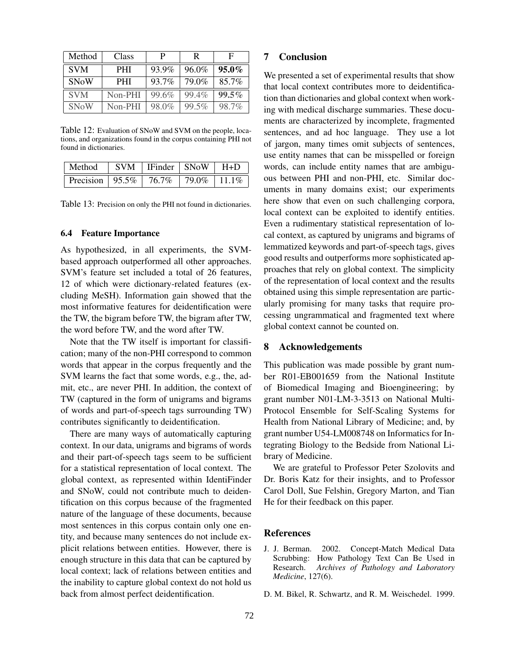| Method      | Class      | P     | R     | F        |
|-------------|------------|-------|-------|----------|
| <b>SVM</b>  | <b>PHI</b> | 93.9% | 96.0% | $95.0\%$ |
| <b>SNoW</b> | <b>PHI</b> | 93.7% | 79.0% | 85.7%    |
| <b>SVM</b>  | Non-PHI    | 99.6% | 99.4% | 99.5%    |
| <b>SNoW</b> | Non-PHI    | 98.0% | 99.5% | 98.7%    |

Table 12: Evaluation of SNoW and SVM on the people, locations, and organizations found in the corpus containing PHI not found in dictionaries.

| Method                                                | $\vert$ SVM $\vert$ IFinder $\vert$ SNoW $\vert$ H+D |  |
|-------------------------------------------------------|------------------------------------------------------|--|
| Precision   $95.5\%$   $76.7\%$   $79.0\%$   $11.1\%$ |                                                      |  |

Table 13: Precision on only the PHI not found in dictionaries.

#### **6.4 Feature Importance**

As hypothesized, in all experiments, the SVMbased approach outperformed all other approaches. SVM's feature set included a total of 26 features, 12 of which were dictionary-related features (excluding MeSH). Information gain showed that the most informative features for deidentification were the TW, the bigram before TW, the bigram after TW, the word before TW, and the word after TW.

Note that the TW itself is important for classification; many of the non-PHI correspond to common words that appear in the corpus frequently and the SVM learns the fact that some words, e.g., the, admit, etc., are never PHI. In addition, the context of TW (captured in the form of unigrams and bigrams of words and part-of-speech tags surrounding TW) contributes significantly to deidentification.

There are many ways of automatically capturing context. In our data, unigrams and bigrams of words and their part-of-speech tags seem to be sufficient for a statistical representation of local context. The global context, as represented within IdentiFinder and SNoW, could not contribute much to deidentification on this corpus because of the fragmented nature of the language of these documents, because most sentences in this corpus contain only one entity, and because many sentences do not include explicit relations between entities. However, there is enough structure in this data that can be captured by local context; lack of relations between entities and the inability to capture global context do not hold us back from almost perfect deidentification.

### **7 Conclusion**

We presented a set of experimental results that show that local context contributes more to deidentification than dictionaries and global context when working with medical discharge summaries. These documents are characterized by incomplete, fragmented sentences, and ad hoc language. They use a lot of jargon, many times omit subjects of sentences, use entity names that can be misspelled or foreign words, can include entity names that are ambiguous between PHI and non-PHI, etc. Similar documents in many domains exist; our experiments here show that even on such challenging corpora, local context can be exploited to identify entities. Even a rudimentary statistical representation of local context, as captured by unigrams and bigrams of lemmatized keywords and part-of-speech tags, gives good results and outperforms more sophisticated approaches that rely on global context. The simplicity of the representation of local context and the results obtained using this simple representation are particularly promising for many tasks that require processing ungrammatical and fragmented text where global context cannot be counted on.

#### **8 Acknowledgements**

This publication was made possible by grant number R01-EB001659 from the National Institute of Biomedical Imaging and Bioengineering; by grant number N01-LM-3-3513 on National Multi-Protocol Ensemble for Self-Scaling Systems for Health from National Library of Medicine; and, by grant number U54-LM008748 on Informatics for Integrating Biology to the Bedside from National Library of Medicine.

We are grateful to Professor Peter Szolovits and Dr. Boris Katz for their insights, and to Professor Carol Doll, Sue Felshin, Gregory Marton, and Tian He for their feedback on this paper.

#### **References**

- J. J. Berman. 2002. Concept-Match Medical Data Scrubbing: How Pathology Text Can Be Used in Research. *Archives of Pathology and Laboratory Medicine*, 127(6).
- D. M. Bikel, R. Schwartz, and R. M. Weischedel. 1999.